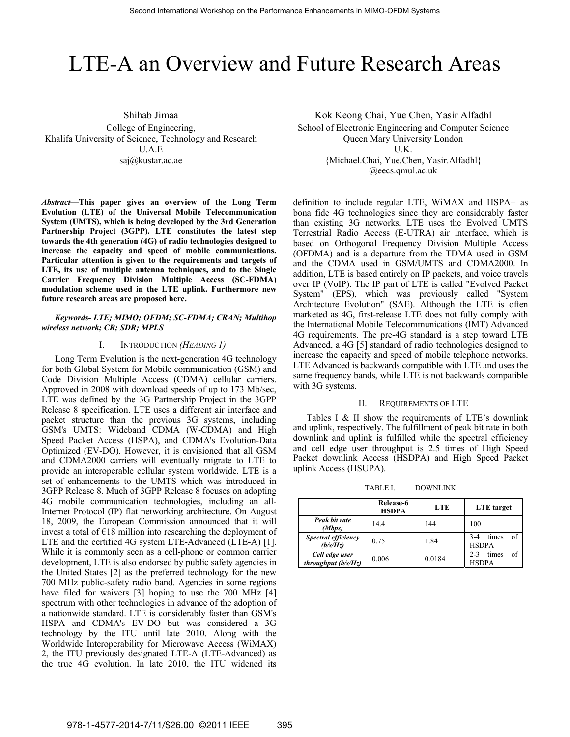# LTE-A an Overview and Future Research Areas

Shihab Jimaa College of Engineering, Khalifa University of Science, Technology and Research U.A.E saj@kustar.ac.ae

*Abstract***—This paper gives an overview of the Long Term Evolution (LTE) of the Universal Mobile Telecommunication System (UMTS), which is being developed by the 3rd Generation Partnership Project (3GPP). LTE constitutes the latest step towards the 4th generation (4G) of radio technologies designed to increase the capacity and speed of mobile communications. Particular attention is given to the requirements and targets of LTE, its use of multiple antenna techniques, and to the Single Carrier Frequency Division Multiple Access (SC-FDMA) modulation scheme used in the LTE uplink. Furthermore new future research areas are proposed here.** 

## *Keywords- LTE; MIMO; OFDM; SC-FDMA; CRAN; Multihop wireless network; CR; SDR; MPLS*

#### I. INTRODUCTION *(HEADING 1)*

Long Term Evolution is the next-generation 4G technology for both Global System for Mobile communication (GSM) and Code Division Multiple Access (CDMA) cellular carriers. Approved in 2008 with download speeds of up to 173 Mb/sec, LTE was defined by the 3G Partnership Project in the 3GPP Release 8 specification. LTE uses a different air interface and packet structure than the previous 3G systems, including GSM's UMTS: Wideband CDMA (W-CDMA) and High Speed Packet Access (HSPA), and CDMA's Evolution-Data Optimized (EV-DO). However, it is envisioned that all GSM and CDMA2000 carriers will eventually migrate to LTE to provide an interoperable cellular system worldwide. LTE is a set of enhancements to the UMTS which was introduced in 3GPP Release 8. Much of 3GPP Release 8 focuses on adopting 4G mobile communication technologies, including an all-Internet Protocol (IP) flat networking architecture. On August 18, 2009, the European Commission announced that it will invest a total of €18 million into researching the deployment of LTE and the certified 4G system LTE-Advanced (LTE-A) [1]. While it is commonly seen as a cell-phone or common carrier development, LTE is also endorsed by public safety agencies in the United States [2] as the preferred technology for the new 700 MHz public-safety radio band. Agencies in some regions have filed for waivers [3] hoping to use the 700 MHz [4] spectrum with other technologies in advance of the adoption of a nationwide standard. LTE is considerably faster than GSM's HSPA and CDMA's EV-DO but was considered a 3G technology by the ITU until late 2010. Along with the Worldwide Interoperability for Microwave Access (WiMAX) 2, the ITU previously designated LTE-A (LTE-Advanced) as the true 4G evolution. In late 2010, the ITU widened its

Kok Keong Chai, Yue Chen, Yasir Alfadhl School of Electronic Engineering and Computer Science Queen Mary University London U.K. {Michael.Chai, Yue.Chen, Yasir.Alfadhl} @eecs.qmul.ac.uk

definition to include regular LTE, WiMAX and HSPA+ as bona fide 4G technologies since they are considerably faster than existing 3G networks. LTE uses the Evolved UMTS Terrestrial Radio Access (E-UTRA) air interface, which is based on Orthogonal Frequency Division Multiple Access (OFDMA) and is a departure from the TDMA used in GSM and the CDMA used in GSM/UMTS and CDMA2000. In addition, LTE is based entirely on IP packets, and voice travels over IP (VoIP). The IP part of LTE is called "Evolved Packet System" (EPS), which was previously called "System Architecture Evolution" (SAE). Although the LTE is often marketed as 4G, first-release LTE does not fully comply with the International Mobile Telecommunications (IMT) Advanced 4G requirements. The pre-4G standard is a step toward LTE Advanced, a 4G [5] standard of radio technologies designed to increase the capacity and speed of mobile telephone networks. LTE Advanced is backwards compatible with LTE and uses the same frequency bands, while LTE is not backwards compatible with 3G systems.

#### II. REQUIREMENTS OF LTE

Tables I & II show the requirements of LTE's downlink and uplink, respectively. The fulfillment of peak bit rate in both downlink and uplink is fulfilled while the spectral efficiency and cell edge user throughput is 2.5 times of High Speed Packet downlink Access (HSDPA) and High Speed Packet uplink Access (HSUPA).

TABLE I. DOWNLINK

|                                         | Release-6<br><b>HSDPA</b> | <b>LTE</b> | LTE target                             |
|-----------------------------------------|---------------------------|------------|----------------------------------------|
| Peak bit rate<br>(Mbps)                 | 14.4                      | 144        | 100                                    |
| Spectral efficiency<br>(b/s/Hz)         | 0.75                      | 1.84       | of<br>times<br>$3 - 4$<br><b>HSDPA</b> |
| Cell edge user<br>throughput $(b/s/Hz)$ | 0.006                     | 0.0184     | of<br>times<br>$2 - 3$<br><b>HSDPA</b> |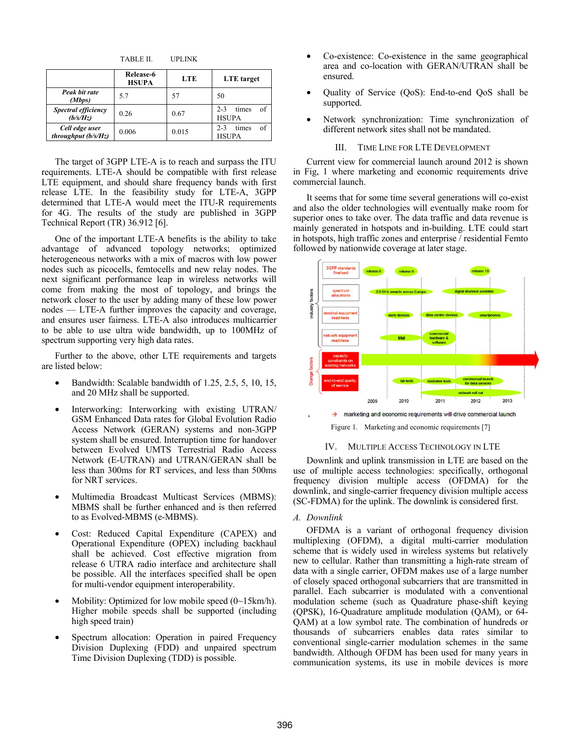|                                         | Release-6<br><b>HSUPA</b> | <b>LTE</b> | LTE target                             |
|-----------------------------------------|---------------------------|------------|----------------------------------------|
| Peak bit rate<br>(Mbps)                 | 5.7                       | 57         | 50                                     |
| Spectral efficiency<br>(b/s/Hz)         | 0.26                      | 0.67       | of<br>$2 - 3$<br>times<br><b>HSUPA</b> |
| Cell edge user<br>throughput $(b/s/Hz)$ | 0.006                     | 0.015      | of<br>$2 - 3$<br>times<br><b>HSUPA</b> |

TABLE II. UPLINK

The target of 3GPP LTE-A is to reach and surpass the ITU requirements. LTE-A should be compatible with first release LTE equipment, and should share frequency bands with first release LTE. In the feasibility study for LTE-A, 3GPP determined that LTE-A would meet the ITU-R requirements for 4G. The results of the study are published in 3GPP Technical Report (TR) 36.912 [6].

One of the important LTE-A benefits is the ability to take advantage of advanced topology networks; optimized heterogeneous networks with a mix of macros with low power nodes such as picocells, femtocells and new relay nodes. The next significant performance leap in wireless networks will come from making the most of topology, and brings the network closer to the user by adding many of these low power nodes — LTE-A further improves the capacity and coverage, and ensures user fairness. LTE-A also introduces multicarrier to be able to use ultra wide bandwidth, up to 100MHz of spectrum supporting very high data rates.

Further to the above, other LTE requirements and targets are listed below:

- Bandwidth: Scalable bandwidth of 1.25, 2.5, 5, 10, 15, and 20 MHz shall be supported.
- Interworking: Interworking with existing UTRAN/ GSM Enhanced Data rates for Global Evolution Radio Access Network (GERAN) systems and non-3GPP system shall be ensured. Interruption time for handover between Evolved UMTS Terrestrial Radio Access Network (E-UTRAN) and UTRAN/GERAN shall be less than 300ms for RT services, and less than 500ms for NRT services.
- Multimedia Broadcast Multicast Services (MBMS): MBMS shall be further enhanced and is then referred to as Evolved-MBMS (e-MBMS).
- Cost: Reduced Capital Expenditure (CAPEX) and Operational Expenditure (OPEX) including backhaul shall be achieved. Cost effective migration from release 6 UTRA radio interface and architecture shall be possible. All the interfaces specified shall be open for multi-vendor equipment interoperability.
- Mobility: Optimized for low mobile speed  $(0\sim15 \text{km/h})$ . Higher mobile speeds shall be supported (including high speed train)
- Spectrum allocation: Operation in paired Frequency Division Duplexing (FDD) and unpaired spectrum Time Division Duplexing (TDD) is possible.
- Co-existence: Co-existence in the same geographical area and co-location with GERAN/UTRAN shall be ensured.
- Quality of Service (QoS): End-to-end QoS shall be supported.
- Network synchronization: Time synchronization of different network sites shall not be mandated.

## TIME LINE FOR LTE DEVELOPMENT

Current view for commercial launch around 2012 is shown in Fig, 1 where marketing and economic requirements drive commercial launch.

It seems that for some time several generations will co-exist and also the older technologies will eventually make room for superior ones to take over. The data traffic and data revenue is mainly generated in hotspots and in-building. LTE could start in hotspots, high traffic zones and enterprise / residential Femto followed by nationwide coverage at later stage.



Figure 1. Marketing and economic requirements [7]

#### IV. MULTIPLE ACCESS TECHNOLOGY IN LTE

Downlink and uplink transmission in LTE are based on the use of multiple access technologies: specifically, orthogonal frequency division multiple access (OFDMA) for the downlink, and single-carrier frequency division multiple access (SC-FDMA) for the uplink. The downlink is considered first.

#### *A. Downlink*

OFDMA is a variant of orthogonal frequency division multiplexing (OFDM), a digital multi-carrier modulation scheme that is widely used in wireless systems but relatively new to cellular. Rather than transmitting a high-rate stream of data with a single carrier, OFDM makes use of a large number of closely spaced orthogonal subcarriers that are transmitted in parallel. Each subcarrier is modulated with a conventional modulation scheme (such as Quadrature phase-shift keying (QPSK), 16-Quadrature amplitude modulation (QAM), or 64- QAM) at a low symbol rate. The combination of hundreds or thousands of subcarriers enables data rates similar to conventional single-carrier modulation schemes in the same bandwidth. Although OFDM has been used for many years in communication systems, its use in mobile devices is more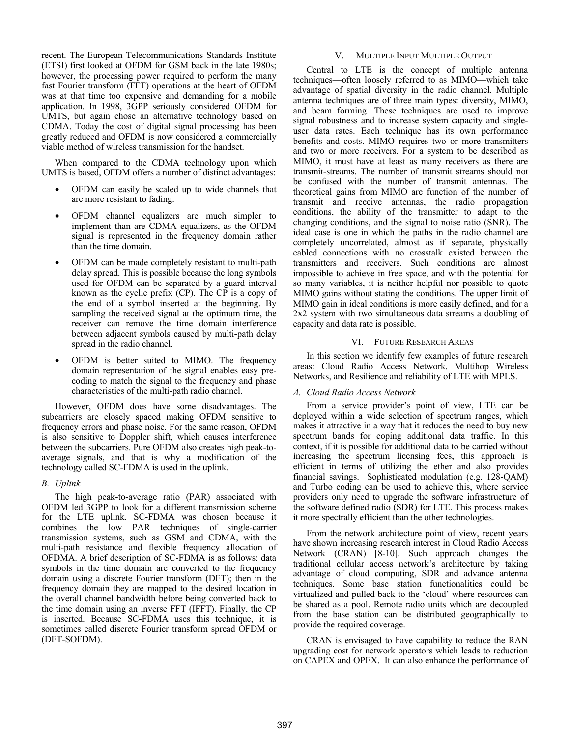recent. The European Telecommunications Standards Institute (ETSI) first looked at OFDM for GSM back in the late 1980s; however, the processing power required to perform the many fast Fourier transform (FFT) operations at the heart of OFDM was at that time too expensive and demanding for a mobile application. In 1998, 3GPP seriously considered OFDM for UMTS, but again chose an alternative technology based on CDMA. Today the cost of digital signal processing has been greatly reduced and OFDM is now considered a commercially viable method of wireless transmission for the handset.

When compared to the CDMA technology upon which UMTS is based, OFDM offers a number of distinct advantages:

- OFDM can easily be scaled up to wide channels that are more resistant to fading.
- OFDM channel equalizers are much simpler to implement than are CDMA equalizers, as the OFDM signal is represented in the frequency domain rather than the time domain.
- OFDM can be made completely resistant to multi-path delay spread. This is possible because the long symbols used for OFDM can be separated by a guard interval known as the cyclic prefix (CP). The CP is a copy of the end of a symbol inserted at the beginning. By sampling the received signal at the optimum time, the receiver can remove the time domain interference between adjacent symbols caused by multi-path delay spread in the radio channel.
- OFDM is better suited to MIMO. The frequency domain representation of the signal enables easy precoding to match the signal to the frequency and phase characteristics of the multi-path radio channel.

However, OFDM does have some disadvantages. The subcarriers are closely spaced making OFDM sensitive to frequency errors and phase noise. For the same reason, OFDM is also sensitive to Doppler shift, which causes interference between the subcarriers. Pure OFDM also creates high peak-toaverage signals, and that is why a modification of the technology called SC-FDMA is used in the uplink.

## *B. Uplink*

The high peak-to-average ratio (PAR) associated with OFDM led 3GPP to look for a different transmission scheme for the LTE uplink. SC-FDMA was chosen because it combines the low PAR techniques of single-carrier transmission systems, such as GSM and CDMA, with the multi-path resistance and flexible frequency allocation of OFDMA. A brief description of SC-FDMA is as follows: data symbols in the time domain are converted to the frequency domain using a discrete Fourier transform (DFT); then in the frequency domain they are mapped to the desired location in the overall channel bandwidth before being converted back to the time domain using an inverse FFT (IFFT). Finally, the CP is inserted. Because SC-FDMA uses this technique, it is sometimes called discrete Fourier transform spread OFDM or (DFT-SOFDM).

#### V. MULTIPLE INPUT MULTIPLE OUTPUT

Central to LTE is the concept of multiple antenna techniques—often loosely referred to as MIMO—which take advantage of spatial diversity in the radio channel. Multiple antenna techniques are of three main types: diversity, MIMO, and beam forming. These techniques are used to improve signal robustness and to increase system capacity and singleuser data rates. Each technique has its own performance benefits and costs. MIMO requires two or more transmitters and two or more receivers. For a system to be described as MIMO, it must have at least as many receivers as there are transmit-streams. The number of transmit streams should not be confused with the number of transmit antennas. The theoretical gains from MIMO are function of the number of transmit and receive antennas, the radio propagation conditions, the ability of the transmitter to adapt to the changing conditions, and the signal to noise ratio (SNR). The ideal case is one in which the paths in the radio channel are completely uncorrelated, almost as if separate, physically cabled connections with no crosstalk existed between the transmitters and receivers. Such conditions are almost impossible to achieve in free space, and with the potential for so many variables, it is neither helpful nor possible to quote MIMO gains without stating the conditions. The upper limit of MIMO gain in ideal conditions is more easily defined, and for a 2x2 system with two simultaneous data streams a doubling of capacity and data rate is possible.

## VI. FUTURE RESEARCH AREAS

In this section we identify few examples of future research areas: Cloud Radio Access Network, Multihop Wireless Networks, and Resilience and reliability of LTE with MPLS.

## *A. Cloud Radio Access Network*

From a service provider's point of view, LTE can be deployed within a wide selection of spectrum ranges, which makes it attractive in a way that it reduces the need to buy new spectrum bands for coping additional data traffic. In this context, if it is possible for additional data to be carried without increasing the spectrum licensing fees, this approach is efficient in terms of utilizing the ether and also provides financial savings. Sophisticated modulation (e.g. 128-QAM) and Turbo coding can be used to achieve this, where service providers only need to upgrade the software infrastructure of the software defined radio (SDR) for LTE. This process makes it more spectrally efficient than the other technologies.

From the network architecture point of view, recent years have shown increasing research interest in Cloud Radio Access Network (CRAN) [8-10]. Such approach changes the traditional cellular access network's architecture by taking advantage of cloud computing, SDR and advance antenna techniques. Some base station functionalities could be virtualized and pulled back to the 'cloud' where resources can be shared as a pool. Remote radio units which are decoupled from the base station can be distributed geographically to provide the required coverage.

CRAN is envisaged to have capability to reduce the RAN upgrading cost for network operators which leads to reduction on CAPEX and OPEX. It can also enhance the performance of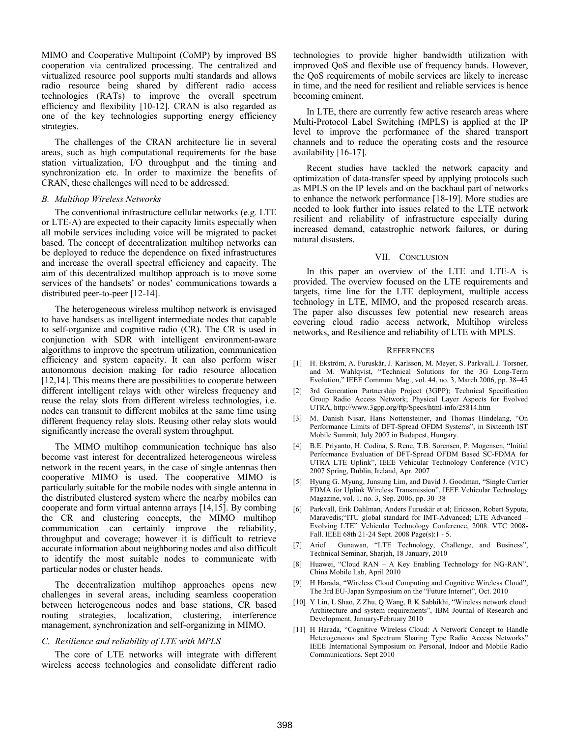MIMO and Cooperative Multipoint (CoMP) by improved BS cooperation via centralized processing. The centralized and virtualized resource pool supports multi standards and allows radio resource being shared by different radio access technologies (RATs) to improve the overall spectrum efficiency and flexibility [10-12]. CRAN is also regarded as one of the key technologies supporting energy efficiency strategies.

The challenges of the CRAN architecture lie in several areas, such as high computational requirements for the base station virtualization, I/O throughput and the timing and synchronization etc. In order to maximize the benefits of CRAN, these challenges will need to be addressed.

#### *B. Multihop Wireless Networks*

The conventional infrastructure cellular networks (e.g. LTE or LTE-A) are expected to their capacity limits especially when all mobile services including voice will be migrated to packet based. The concept of decentralization multihop networks can be deployed to reduce the dependence on fixed infrastructures and increase the overall spectral efficiency and capacity. The aim of this decentralized multihop approach is to move some services of the handsets' or nodes' communications towards a distributed peer-to-peer [12-14].

The heterogeneous wireless multihop network is envisaged to have handsets as intelligent intermediate nodes that capable to self-organize and cognitive radio (CR). The CR is used in conjunction with SDR with intelligent environment-aware algorithms to improve the spectrum utilization, communication efficiency and system capacity. It can also perform wiser autonomous decision making for radio resource allocation [12,14]. This means there are possibilities to cooperate between different intelligent relays with other wireless frequency and reuse the relay slots from different wireless technologies, i.e. nodes can transmit to different mobiles at the same time using different frequency relay slots. Reusing other relay slots would significantly increase the overall system throughput.

The MIMO multihop communication technique has also become vast interest for decentralized heterogeneous wireless network in the recent years, in the case of single antennas then cooperative MIMO is used. The cooperative MIMO is particularly suitable for the mobile nodes with single antenna in the distributed clustered system where the nearby mobiles can cooperate and form virtual antenna arrays [14,15]. By combing the CR and clustering concepts, the MIMO multihop communication can certainly improve the reliability, throughput and coverage; however it is difficult to retrieve accurate information about neighboring nodes and also difficult to identify the most suitable nodes to communicate with particular nodes or cluster heads.

The decentralization multihop approaches opens new challenges in several areas, including seamless cooperation between heterogeneous nodes and base stations, CR based routing strategies, localization, clustering, interference management, synchronization and self-organizing in MIMO.

## *C. Resilience and reliability of LTE with MPLS*

The core of LTE networks will integrate with different wireless access technologies and consolidate different radio

technologies to provide higher bandwidth utilization with improved QoS and flexible use of frequency bands. However, the QoS requirements of mobile services are likely to increase in time, and the need for resilient and reliable services is hence becoming eminent.

In LTE, there are currently few active research areas where Multi-Protocol Label Switching (MPLS) is applied at the IP level to improve the performance of the shared transport channels and to reduce the operating costs and the resource availability [16-17].

Recent studies have tackled the network capacity and optimization of data-transfer speed by applying protocols such as MPLS on the IP levels and on the backhaul part of networks to enhance the network performance [18-19]. More studies are needed to look further into issues related to the LTE network resilient and reliability of infrastructure especially during increased demand, catastrophic network failures, or during natural disasters.

#### VII. CONCLUSION

In this paper an overview of the LTE and LTE-A is provided. The overview focused on the LTE requirements and targets, time line for the LTE deployment, multiple access technology in LTE, MIMO, and the proposed research areas. The paper also discusses few potential new research areas covering cloud radio access network, Multihop wireless networks, and Resilience and reliability of LTE with MPLS.

#### **REFERENCES**

- [1] H. Ekström, A. Furuskär, J. Karlsson, M. Meyer, S. Parkvall, J. Torsner, and M. Wahlqvist, "Technical Solutions for the 3G Long-Term Evolution," IEEE Commun. Mag., vol. 44, no. 3, March 2006, pp. 38–45
- [2] 3rd Generation Partnership Project (3GPP); Technical Specification Group Radio Access Network; Physical Layer Aspects for Evolved UTRA, http://www.3gpp.org/ftp/Specs/html-info/25814.htm
- [3] M. Danish Nisar, Hans Nottensteiner, and Thomas Hindelang, "On Performance Limits of DFT-Spread OFDM Systems", in Sixteenth IST Mobile Summit, July 2007 in Budapest, Hungary.
- [4] B.E. Priyanto, H. Codina, S. Rene, T.B. Sorensen, P. Mogensen, "Initial Performance Evaluation of DFT-Spread OFDM Based SC-FDMA for UTRA LTE Uplink", IEEE Vehicular Technology Conference (VTC) 2007 Spring, Dublin, Ireland, Apr. 2007
- [5] Hyung G. Myung, Junsung Lim, and David J. Goodman, "Single Carrier FDMA for Uplink Wireless Transmission", IEEE Vehicular Technology Magazine, vol. 1, no. 3, Sep. 2006, pp. 30–38
- [6] Parkvall, Erik Dahlman, Anders Furuskär et al; Ericsson, Robert Syputa, Maravedis;"ITU global standard for IMT-Advanced; LTE Advanced – Evolving LTE" Vehicular Technology Conference, 2008. VTC 2008- Fall. IEEE 68th 21-24 Sept. 2008 Page(s):1 - 5.
- [7] Arief Gunawan, "LTE Technology, Challenge, and Business", Technical Seminar, Sharjah, 18 January, 2010
- [8] Huawei, "Cloud RAN A Key Enabling Technology for NG-RAN", China Mobile Lab, April 2010
- [9] H Harada, "Wireless Cloud Computing and Cognitive Wireless Cloud", The 3rd EU-Japan Symposium on the "Future Internet", Oct. 2010
- [10] Y Lin, L Shao, Z Zhu, Q Wang, R K Sabhikhi, "Wireless network cloud: Architecture and system requirements", IBM Journal of Research and Development, January-February 2010
- [11] H Harada, "Cognitive Wireless Cloud: A Network Concept to Handle Heterogeneous and Spectrum Sharing Type Radio Access Networks" IEEE International Symposium on Personal, Indoor and Mobile Radio Communications, Sept 2010